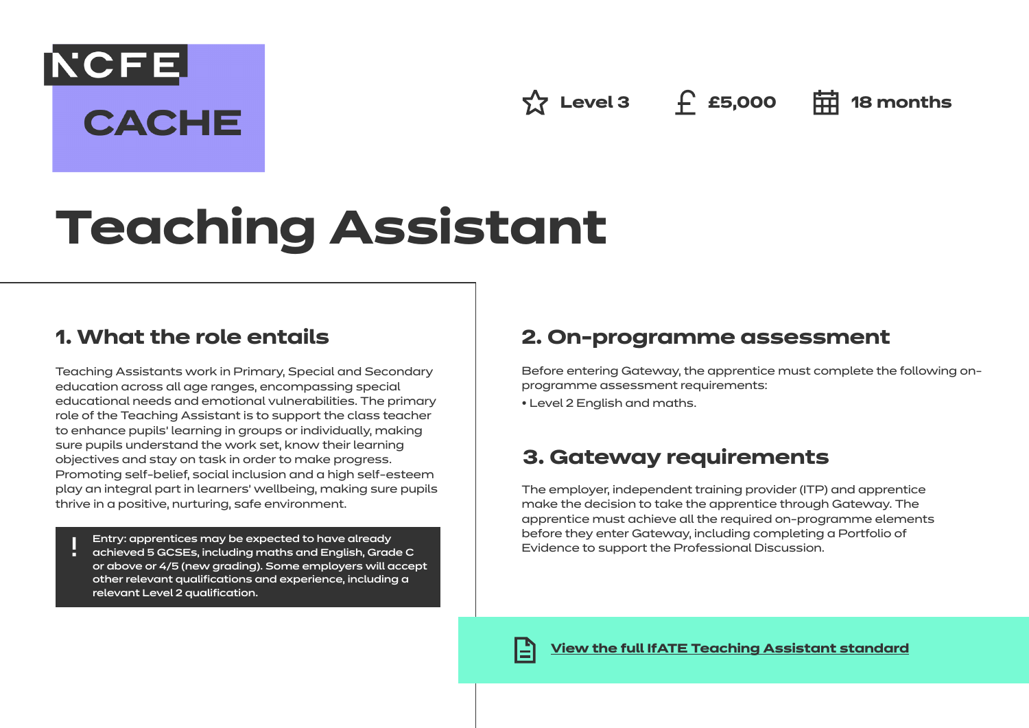**☆ Level 3** ← £5,000 **中 18 months** 

# **Teaching Assistant**

## **1. What the role entails**

**NCFE** 

**CACHE** 

Teaching Assistants work in Primary, Special and Secondary education across all age ranges, encompassing special educational needs and emotional vulnerabilities. The primary role of the Teaching Assistant is to support the class teacher to enhance pupils' learning in groups or individually, making sure pupils understand the work set, know their learning objectives and stay on task in order to make progress. Promoting self-belief, social inclusion and a high self-esteem play an integral part in learners' wellbeing, making sure pupils thrive in a positive, nurturing, safe environment.

Entry: apprentices may be expected to have already

achieved 5 GCSEs, including maths and English, Grade C or above or 4/5 (new grading). Some employers will accept other relevant qualifications and experience, including a relevant Level 2 qualification.

## **2. On-programme assessment**

Before entering Gateway, the apprentice must complete the following onprogramme assessment requirements:

• Level 2 English and maths.

## **3. Gateway requirements**

The employer, independent training provider (ITP) and apprentice make the decision to take the apprentice through Gateway. The apprentice must achieve all the required on-programme elements before they enter Gateway, including completing a Portfolio of Evidence to support the Professional Discussion.